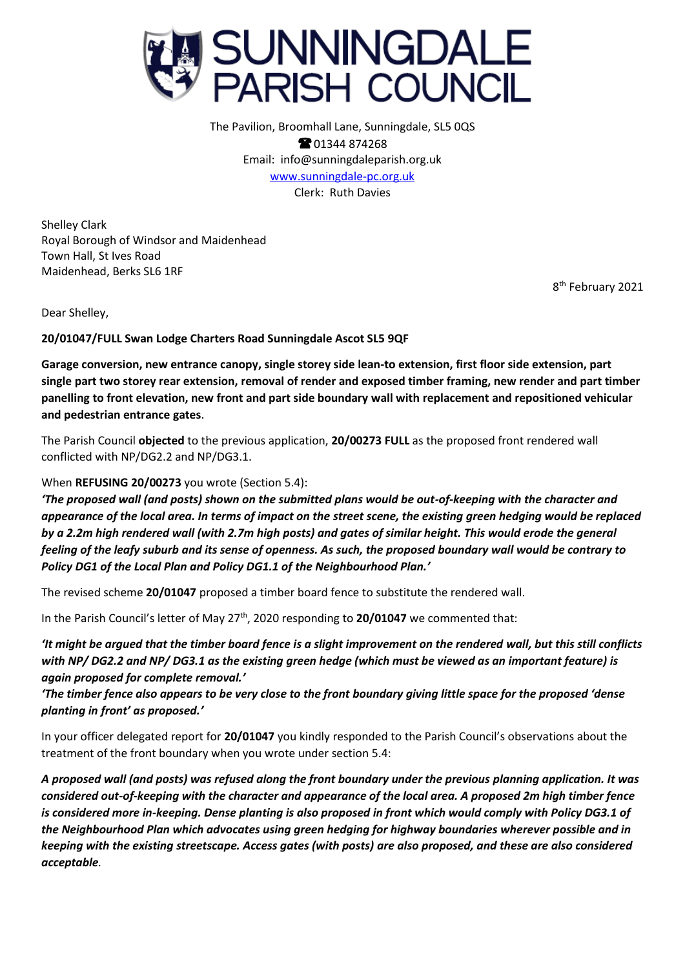

The Pavilion, Broomhall Lane, Sunningdale, SL5 0QS **@01344874268** Email: info@sunningdaleparish.org.uk [www.sunningdale-pc.org.uk](http://www.sunningdale-pc.org.uk/) Clerk: Ruth Davies

Shelley Clark Royal Borough of Windsor and Maidenhead Town Hall, St Ives Road Maidenhead, Berks SL6 1RF

8 th February 2021

Dear Shelley,

**20/01047/FULL Swan Lodge Charters Road Sunningdale Ascot SL5 9QF**

**Garage conversion, new entrance canopy, single storey side lean-to extension, first floor side extension, part single part two storey rear extension, removal of render and exposed timber framing, new render and part timber panelling to front elevation, new front and part side boundary wall with replacement and repositioned vehicular and pedestrian entrance gates**.

The Parish Council **objected** to the previous application, **20/00273 FULL** as the proposed front rendered wall conflicted with NP/DG2.2 and NP/DG3.1.

When **REFUSING 20/00273** you wrote (Section 5.4):

*'The proposed wall (and posts) shown on the submitted plans would be out-of-keeping with the character and appearance of the local area. In terms of impact on the street scene, the existing green hedging would be replaced by a 2.2m high rendered wall (with 2.7m high posts) and gates of similar height. This would erode the general feeling of the leafy suburb and its sense of openness. As such, the proposed boundary wall would be contrary to Policy DG1 of the Local Plan and Policy DG1.1 of the Neighbourhood Plan.'*

The revised scheme **20/01047** proposed a timber board fence to substitute the rendered wall.

In the Parish Council's letter of May 27<sup>th</sup>, 2020 responding to **20/01047** we commented that:

*'It might be argued that the timber board fence is a slight improvement on the rendered wall, but this still conflicts with NP/ DG2.2 and NP/ DG3.1 as the existing green hedge (which must be viewed as an important feature) is again proposed for complete removal.'*

*'The timber fence also appears to be very close to the front boundary giving little space for the proposed 'dense planting in front' as proposed.'*

In your officer delegated report for **20/01047** you kindly responded to the Parish Council's observations about the treatment of the front boundary when you wrote under section 5.4:

*A proposed wall (and posts) was refused along the front boundary under the previous planning application. It was considered out-of-keeping with the character and appearance of the local area. A proposed 2m high timber fence is considered more in-keeping. Dense planting is also proposed in front which would comply with Policy DG3.1 of the Neighbourhood Plan which advocates using green hedging for highway boundaries wherever possible and in keeping with the existing streetscape. Access gates (with posts) are also proposed, and these are also considered acceptable.*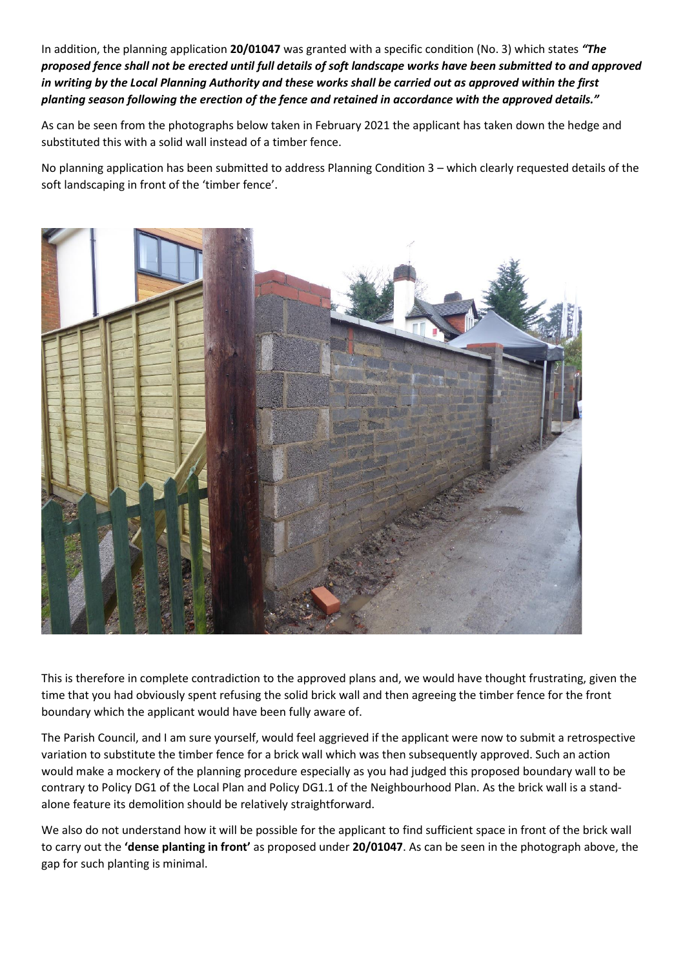In addition, the planning application **20/01047** was granted with a specific condition (No. 3) which states *"The proposed fence shall not be erected until full details of soft landscape works have been submitted to and approved in writing by the Local Planning Authority and these works shall be carried out as approved within the first planting season following the erection of the fence and retained in accordance with the approved details."*

As can be seen from the photographs below taken in February 2021 the applicant has taken down the hedge and substituted this with a solid wall instead of a timber fence.

No planning application has been submitted to address Planning Condition 3 – which clearly requested details of the soft landscaping in front of the 'timber fence'.



This is therefore in complete contradiction to the approved plans and, we would have thought frustrating, given the time that you had obviously spent refusing the solid brick wall and then agreeing the timber fence for the front boundary which the applicant would have been fully aware of.

The Parish Council, and I am sure yourself, would feel aggrieved if the applicant were now to submit a retrospective variation to substitute the timber fence for a brick wall which was then subsequently approved. Such an action would make a mockery of the planning procedure especially as you had judged this proposed boundary wall to be contrary to Policy DG1 of the Local Plan and Policy DG1.1 of the Neighbourhood Plan. As the brick wall is a standalone feature its demolition should be relatively straightforward.

We also do not understand how it will be possible for the applicant to find sufficient space in front of the brick wall to carry out the **'dense planting in front'** as proposed under **20/01047**. As can be seen in the photograph above, the gap for such planting is minimal.